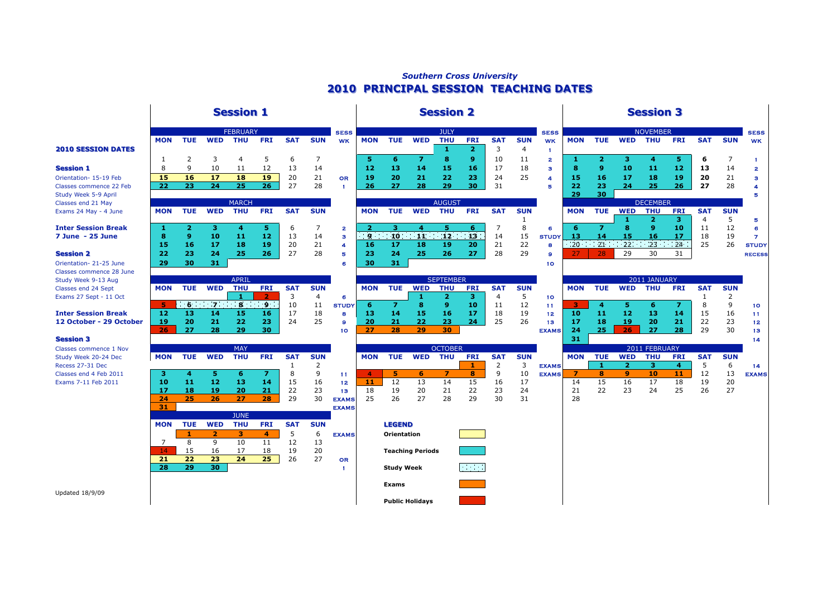# *Southern Cross University* **2010 PRINCIPAL SESSION TEACHING DATES 2010 PRINCIPAL SESSION TEACHING DATES**

## **Session 1 Session 1 Session 2 Session 2 Session 3 Session 3**

### **2010 SESSION DATES**

# **12 October - 29 October 19 20 21 22 23** 24 25 9 **20 21 22 23 24** 25 26 13 **17 18 19 20 21** 22 23 12

|                                                       |            |                |                         | <b>FEBRUARY</b>         |            |            |            | <b>SESS</b>      |                  |                    |                         | <b>JULY</b>      |                 |                |                 | <b>SESS</b>  |            |                |                   | <b>NOVEMBER</b>              |                  |                              |                 | <b>SESS</b>    |
|-------------------------------------------------------|------------|----------------|-------------------------|-------------------------|------------|------------|------------|------------------|------------------|--------------------|-------------------------|------------------|-----------------|----------------|-----------------|--------------|------------|----------------|-------------------|------------------------------|------------------|------------------------------|-----------------|----------------|
|                                                       | <b>MON</b> | <b>TUE</b>     | <b>WED</b>              | <b>THU</b>              | <b>FRI</b> | <b>SAT</b> | <b>SUN</b> | <b>WK</b>        | <b>MON</b>       | <b>TUE</b>         | <b>WED</b>              | <b>THU</b>       | <b>FRI</b>      | <b>SAT</b>     | <b>SUN</b>      | <b>WK</b>    | <b>MON</b> | <b>TUE</b>     | <b>WED</b>        | <b>THU</b>                   | <b>FRI</b>       | <b>SAT</b>                   | <b>SUN</b>      | <b>WK</b>      |
| <b>2010 SESSION DATES</b>                             |            |                |                         |                         |            |            |            |                  |                  |                    |                         | 1                | 2               | 3              | $\overline{4}$  |              |            |                |                   |                              |                  |                              |                 |                |
|                                                       | -1         | 2              | 3                       | 4                       | 5          | 6          | 7          |                  | 5.               | 6                  | $\overline{z}$          | 8                | 9               | 10             | 11              | $\mathbf{z}$ | л.         | $\overline{2}$ | з.                | 4                            | 5.               | 6                            | 7               | -1             |
| Session 1                                             | 8          | q              | 10                      | 11                      | 12         | 13         | 14         |                  | 12               | 13                 | 14                      | 15               | 16              | 17             | 18              | з            | 8          | 9              | 10                | 11                           | 12               | 13                           | 14              | $\mathbf{z}$   |
| Orientation- 15-19 Feb                                | 15         | 16             | 17                      | 18                      | 19         | 20         | 21         | OR               | 19               | 20                 | 21                      | 22               | 23              | 24             | 25              | А            | 15         | 16             | 17                | 18                           | 19               | 20                           | 21              | з              |
| Classes commence 22 Feb                               | 22         | 23             | 24                      | 25                      | 26         | 27         | 28         | $\mathbf{f}$     | 26               | 27                 | 28                      | 29               | 30              | 31             |                 | 猶            | 22         | 23             | 24                | 25                           | 26               | 27                           | 28              | 4              |
| Study Week 5-9 April                                  |            |                |                         |                         |            |            |            |                  |                  |                    |                         |                  |                 |                |                 |              | 29         | 30             |                   |                              |                  |                              |                 | Б              |
| Classes end 21 May                                    |            |                |                         | <b>MARCH</b>            |            |            |            |                  |                  |                    |                         | <b>AUGUST</b>    |                 |                |                 |              |            |                |                   | <b>DECEMBER</b>              |                  |                              |                 |                |
| Exams 24 May - 4 June                                 | <b>MON</b> | <b>TUE</b>     | <b>WED</b>              | <b>THU</b>              | <b>FRI</b> | <b>SAT</b> | <b>SUN</b> |                  | <b>MON</b>       | <b>TUE</b>         | <b>WED</b>              | <b>THU</b>       | <b>FRI</b>      | <b>SAT</b>     | <b>SUN</b><br>1 |              | <b>MON</b> | <b>TUE</b>     | <b>WED</b><br>-1. | <b>THU</b><br>$\overline{2}$ | <b>FRI</b><br>з. | <b>SAT</b><br>$\overline{4}$ | <b>SUN</b><br>5 | Б              |
| <b>Inter Session Break</b>                            | -1         | $\overline{2}$ | з                       | 4                       | 5.         | 6          | 7          | $\mathbf{2}$     | $\overline{2}$   | з                  | 4                       | 5.               | 6               | $\overline{7}$ | 8               | 6            | 6          | $\overline{z}$ | 8                 | 9                            | 10               | 11                           | 12              | 6              |
| 7 June - 25 June                                      | 8          | 9              | 10                      | 11                      | 12         | -13        | 14         | 3                | -9               |                    | $10 \t 11$              | $\overline{12}$  | 13 <sup>°</sup> | 14             | 15              | <b>STUDY</b> | -13        | 14             | 15                | 16                           | -17              | 18                           | 19              | $\overline{7}$ |
|                                                       | 15         | 16             | 17                      | 18                      | 19         | 20         | 21         | $\boldsymbol{A}$ | 16               | 17                 | 18                      | 19               | 20              | 21             | 22              | 8            | $20 \t 21$ |                | $22^{\circ}$      | 23                           | $-24$            | 25                           | 26              | <b>STUDY</b>   |
| <b>Session 2</b>                                      | 22         | 23             | 24                      | 25                      | 26         | 27         | 28         | 唇                | 23               | 24                 | 25                      | 26               | 27              | 28             | 29              | $\mathbf{a}$ | 27         | 28.            | 29                | 30                           | 31               |                              |                 | <b>RECESS</b>  |
| Orientation- 21-25 June                               | 29         | 30             | 31                      |                         |            |            |            | 6                | 30               | 31                 |                         |                  |                 |                |                 | 10           |            |                |                   |                              |                  |                              |                 |                |
| <b>Classes commence 28 June</b>                       |            |                |                         |                         |            |            |            |                  |                  |                    |                         |                  |                 |                |                 |              |            |                |                   |                              |                  |                              |                 |                |
| Study Week 9-13 Aug                                   |            |                |                         | <b>APRIL</b>            |            |            |            |                  |                  |                    |                         | <b>SEPTEMBER</b> |                 |                |                 |              |            |                |                   | 2011 JANUARY                 |                  |                              |                 |                |
| <b>Classes end 24 Sept</b>                            | <b>MON</b> | <b>TUE</b>     | <b>WED</b>              | <b>THU</b>              | <b>FRI</b> | <b>SAT</b> | <b>SUN</b> |                  | <b>MON</b>       | <b>TUE</b>         | <b>WED</b>              | <b>THU</b>       | <b>FRI</b>      | <b>SAT</b>     | <b>SUN</b>      |              | <b>MON</b> | <b>TUE</b>     | <b>WED</b>        | <b>THU</b>                   | <b>FRI</b>       | <b>SAT</b>                   | <b>SUN</b>      |                |
| Exams 27 Sept - 11 Oct                                |            |                |                         | -1                      |            | 3          | 4          | $\epsilon$       |                  |                    | 1                       | 2                | з               | 4              | 5               | 10           |            |                |                   |                              |                  | -1                           | 2               |                |
|                                                       | 5.         | $-6$           | $-7$                    | $\overline{\mathbf{8}}$ | - 9 -      | 10         | 11         | <b>STUDY</b>     | 6                | $\overline{7}$     | 8                       | 9                | 10              | 11             | 12              | -11          | -3         | 4              | 5.                | 6                            | $\overline{z}$   | 8                            | 9               | 10             |
| Inter Session Break                                   | 12         | 13             | 14                      | 15                      | 16         | 17         | 18         | 8                | 13               | 14                 | 15                      | 16               | 17              | 18             | 19              | 12           | 10         | 11             | 12                | 13                           | 14               | 15                           | 16              | 11             |
| 12 October - 29 October                               | 19         | 20             | 21                      | 22                      | 23         | 24         | 25         | $\mathbf{9}$     | 20               | 21                 | 22                      | 23               | 24              | 25             | 26              | 13           | 17         | 18             | 19<br>26          | 20                           | 21               | 22                           | 23              | 12             |
| <b>Session 3</b>                                      | 26         | 27             | 28                      | 29                      | 30         |            |            | 10               | 27               | 28                 | 29                      | 30               |                 |                |                 | <b>EXAMS</b> | 24<br>31   | 25             |                   | 27                           | 28               | 29                           | 30              | 13             |
|                                                       |            |                |                         | <b>MAY</b>              |            |            |            |                  |                  |                    |                         | <b>OCTOBER</b>   |                 |                |                 |              |            |                |                   | 2011 FEBRUARY                |                  |                              |                 | 14             |
| <b>Classes commence 1 Nov</b><br>Study Week 20-24 Dec | <b>MON</b> | <b>TUE</b>     | <b>WED</b>              | <b>THU</b>              | <b>FRI</b> | <b>SAT</b> | <b>SUN</b> |                  | <b>MON</b>       | <b>TUE</b>         | <b>WED</b>              | <b>THU</b>       | <b>FRI</b>      | <b>SAT</b>     | <b>SUN</b>      |              | <b>MON</b> | <b>TUE</b>     | <b>WED</b>        | <b>THU</b>                   | <b>FRI</b>       | <b>SAT</b>                   | <b>SUN</b>      |                |
| Recess 27-31 Dec                                      |            |                |                         |                         |            | 1          | 2          |                  |                  |                    |                         |                  | -1              | 2              | 3               | <b>EXAMS</b> |            | -1             | $\overline{2}$    | 3                            | $\overline{4}$   | 5                            | 6               | 14             |
| Classes end 4 Feb 2011                                | з          | 4              | 5.                      | 6                       | 7.         | 8          | 9          | 11               | $\boldsymbol{A}$ | 5                  | 6                       | 7                | 8               | 9              | 10              | <b>EXAMS</b> | -7         | 8              | 9                 | 10                           | 11               | 12                           | 13              | <b>EXAMS</b>   |
| Exams 7-11 Feb 2011                                   | 10         | 11             | 12                      | 13                      | 14         | 15         | 16         | 12               | 11               | 12                 | 13                      | 14               | 15              | 16             | 17              |              | 14         | 15             | 16                | 17                           | 18               | 19                           | 20              |                |
|                                                       | 17         | 18             | 19                      | 20                      | 21         | 22         | 23         | 13               | 18               | 19                 | 20                      | 21               | 22              | 23             | 24              |              | 21         | 22             | 23                | 24                           | 25               | 26                           | 27              |                |
|                                                       | 24         | 25             | 26                      | 27                      | 28         | 29         | 30         | <b>EXAMS</b>     | 25               | 26                 | 27                      | 28               | 29              | 30             | 31              |              | 28         |                |                   |                              |                  |                              |                 |                |
|                                                       | 31         |                |                         |                         |            |            |            | <b>EXAMS</b>     |                  |                    |                         |                  |                 |                |                 |              |            |                |                   |                              |                  |                              |                 |                |
|                                                       |            |                |                         | <b>JUNE</b>             |            |            |            |                  |                  |                    |                         |                  |                 |                |                 |              |            |                |                   |                              |                  |                              |                 |                |
|                                                       | <b>MON</b> | <b>TUE</b>     | <b>WED</b>              | <b>THU</b>              | <b>FRI</b> | <b>SAT</b> | <b>SUN</b> |                  |                  | <b>LEGEND</b>      |                         |                  |                 |                |                 |              |            |                |                   |                              |                  |                              |                 |                |
|                                                       |            |                | $\overline{\mathbf{2}}$ | 3                       | 4          | 5          | 6          | <b>EXAMS</b>     |                  | <b>Orientation</b> |                         |                  |                 |                |                 |              |            |                |                   |                              |                  |                              |                 |                |
|                                                       | 7<br>14    | 8<br>15        | 9<br>16                 | 10<br>17                | 11<br>18   | 12<br>19   | 13<br>20   |                  |                  |                    |                         |                  |                 |                |                 |              |            |                |                   |                              |                  |                              |                 |                |
|                                                       | 21         | 22             | 23                      | 24                      | 25         | 26         | 27         | <b>OR</b>        |                  |                    | <b>Teaching Periods</b> |                  |                 |                |                 |              |            |                |                   |                              |                  |                              |                 |                |
|                                                       | 28         | 29             | 30                      |                         |            |            |            | п                |                  | <b>Study Week</b>  |                         |                  | <b>Contract</b> |                |                 |              |            |                |                   |                              |                  |                              |                 |                |
|                                                       |            |                |                         |                         |            |            |            |                  |                  |                    |                         |                  |                 |                |                 |              |            |                |                   |                              |                  |                              |                 |                |
|                                                       |            |                |                         |                         |            |            |            |                  |                  | Exams              |                         |                  |                 |                |                 |              |            |                |                   |                              |                  |                              |                 |                |
| $1.4 - 1.4 - 1.4010100$                               |            |                |                         |                         |            |            |            |                  |                  |                    |                         |                  |                 |                |                 |              |            |                |                   |                              |                  |                              |                 |                |

| <b>MON</b>        | <b>TUE</b> | <b>WED</b>       | <b>THU</b>    | <b>FRI</b> | <b>SAT</b> | <b>SUN</b> |
|-------------------|------------|------------------|---------------|------------|------------|------------|
|                   |            |                  | 1             | 2          | 3          | 4          |
| 5                 | 6          | 7                | 8             | 9          | 10         | 11         |
| 12                | 13         | 14               | 15            | 16         | 17         | 18         |
| 19                | 20         | 21               | 22            | 23         | 24         | 25         |
| 26                | 27         | 28               | 29            | 30         | 31         |            |
|                   |            |                  |               |            |            |            |
|                   |            |                  | <b>AUGUST</b> |            |            |            |
|                   |            |                  |               |            |            |            |
| <b>MON</b>        | <b>TUE</b> | <b>WED</b>       | <b>THU</b>    | <b>FRI</b> | <b>SAT</b> | <b>SUN</b> |
|                   |            |                  |               |            |            | 1          |
| $\overline{2}$    | з          | 4                | 5             | 6          | 7          | 8          |
| $9^{\circ}$<br>ä, | $-10$      | 11<br>$\sim 100$ | 24            | $12 \t13$  | 14         | 15         |
| 16                | 17         | 18               | 19            | 20         | 21         | 22         |
| 23                | 24         | 25               | 26            | 27         | 28         | 29         |
| 30                | 31         |                  |               |            |            |            |

|    |            |     |            | <b>SEPTEMBER</b> |            |            |            |
|----|------------|-----|------------|------------------|------------|------------|------------|
|    | <b>MON</b> | TUE | <b>WED</b> | τнυ              | <b>FRI</b> | <b>SAT</b> | <b>SUI</b> |
|    |            |     |            |                  | з          |            |            |
| DY |            |     | 8          |                  | 10         | 11         | 12         |
|    | 13         | 14  | 15         | 16               | 17         | 18         | 19         |
|    | 20         | 21  | 22         | 23               | 24         | 25         | 26         |
|    | 77         | 28  | 29         | 30               |            |            |            |

|            |            |            | <b>OCTOBER</b> |            |            |           |
|------------|------------|------------|----------------|------------|------------|-----------|
| <b>MON</b> | <b>TUE</b> | <b>WED</b> | <b>THU</b>     | <b>FRI</b> | <b>SAT</b> | <b>SU</b> |
|            |            |            |                |            | 2          | 3         |
|            |            |            |                |            | 9          | 10        |
| 11         | 12         | 13         | 14             | 15         | 16         | 17        |
| 18         | 19         | 20         | 21             | 22         | 23         | 24        |
| 25         | 26         | 27         | 28             | 29         | 30         | 31        |

- 
- 
- 
- 
- **Public Holidays**

| <b>SESS</b>  |                |                             |                                 | <b>JULY</b>             |                   |                |                | <b>SESS</b>             |                         |                |                | <b>NOVEMBER</b> |                |              |                | <b>SESS</b>   |
|--------------|----------------|-----------------------------|---------------------------------|-------------------------|-------------------|----------------|----------------|-------------------------|-------------------------|----------------|----------------|-----------------|----------------|--------------|----------------|---------------|
| <b>WK</b>    | <b>MON</b>     | <b>TUE</b>                  | <b>WED</b>                      | <b>THU</b>              | <b>FRI</b>        | <b>SAT</b>     | <b>SUN</b>     | <b>WK</b>               | <b>MON</b>              | <b>TUE</b>     | <b>WED</b>     | <b>THU</b>      | <b>FRI</b>     | <b>SAT</b>   | <b>SUN</b>     | <b>WK</b>     |
|              |                |                             |                                 | 1                       | $\overline{2}$    | 3              | $\overline{4}$ | 1                       |                         |                |                |                 |                |              |                |               |
|              | 5              | 6                           | $\overline{z}$                  | 8                       | 9                 | 10             | 11             | $\overline{\mathbf{2}}$ | 1                       | $\overline{2}$ | 3              | 4               | 5              | 6            | $\overline{7}$ | 1             |
|              | 12             | 13                          | 14                              | 15                      | 16                | 17             | 18             | a                       | 8                       | 9              | 10             | 11              | 12             | 13           | 14             | 2             |
| <b>OR</b>    | 19             | 20                          | 21                              | 22                      | 23                | 24             | 25             | 4                       | 15                      | 16             | 17             | 18              | 19             | 20           | 21             | з             |
| 1            | 26             | 27                          | 28                              | 29                      | 30                | 31             |                | Б                       | 22                      | 23             | 24             | 25              | 26             | 27           | 28             | 4             |
|              |                |                             |                                 |                         |                   |                |                |                         | 29                      | 30             |                |                 |                |              |                | Б             |
|              |                |                             |                                 | <b>AUGUST</b>           |                   |                |                |                         |                         |                |                | <b>DECEMBER</b> |                |              |                |               |
|              | <b>MON</b>     | <b>TUE</b>                  | <b>WED</b>                      | <b>THU</b>              | <b>FRI</b>        | <b>SAT</b>     | <b>SUN</b>     |                         | <b>MON</b>              | <b>TUE</b>     | <b>WED</b>     | <b>THU</b>      | <b>FRI</b>     | <b>SAT</b>   | <b>SUN</b>     |               |
|              |                |                             |                                 |                         |                   |                | 1              |                         |                         |                | 1              | $\overline{2}$  | з              | 4            | 5              | 5             |
| $\mathbf{z}$ | $\overline{2}$ | з                           | 4                               | 5                       | 6                 | 7              | 8              | 6                       | 6                       | $\overline{z}$ | 8              | 9               | 10             | 11           | 12             | 6             |
| з            | $^{\circ}$     | $\overline{\phantom{0}}$ 10 | $\overline{11}$ $\overline{12}$ |                         | $\blacksquare$ 13 | 14             | 15             | <b>STUDY</b>            | 13                      | 14             | 15             | 16              | 17             | 18           | 19             | 7             |
| 4            | 16             | 17                          | 18                              | 19                      | 20                | 21             | 22             | 8                       | $-20$                   | $-21$          | 22             | 23              | 24             | 25           | 26             | <b>STUDY</b>  |
| 5            | 23             | 24                          | 25                              | 26                      | 27                | 28             | 29             | ø                       | 27                      | 28             | 29             | 30              | 31             |              |                | <b>RECESS</b> |
| 6            | 30             | 31                          |                                 |                         |                   |                |                | 10                      |                         |                |                |                 |                |              |                |               |
|              |                |                             |                                 |                         |                   |                |                |                         |                         |                |                |                 |                |              |                |               |
|              |                |                             |                                 | <b>SEPTEMBER</b>        |                   |                |                |                         |                         |                |                | 2011 JANUARY    |                |              |                |               |
|              | <b>MON</b>     | <b>TUE</b>                  | <b>WED</b>                      | <b>THU</b>              | <b>FRI</b>        | <b>SAT</b>     | <b>SUN</b>     |                         | <b>MON</b>              | <b>TUE</b>     | <b>WED</b>     | <b>THU</b>      | <b>FRI</b>     | <b>SAT</b>   | <b>SUN</b>     |               |
| 6            |                |                             | 1                               | $\overline{2}$          | з                 | $\overline{4}$ | 5              | 10                      |                         |                |                |                 |                | $\mathbf{1}$ | $\overline{2}$ |               |
| <b>STUDY</b> | 6              | $\overline{z}$              | 8                               | 9                       | 10                | 11             | 12             | 11                      | з                       | 4              | 5              | 6               | $\overline{z}$ | 8            | 9              | 10            |
| 8            | 13             | 14                          | 15                              | 16                      | 17                | 18             | 19             | 12                      | 10                      | 11             | 12             | 13              | 14             | 15           | 16             | 11            |
| 9            | 20             | 21                          | 22                              | 23                      | 24                | 25             | 26             | 13                      | 17                      | 18             | 19             | 20              | 21             | 22           | 23             | 12            |
| 10           | 27             | 28                          | 29                              | 30                      |                   |                |                | <b>EXAMS</b>            | 24                      | 25             | 26             | 27              | 28             | 29           | 30             | 13            |
|              |                |                             |                                 |                         |                   |                |                |                         | 31                      |                |                |                 |                |              |                | 14            |
|              |                |                             |                                 | <b>OCTOBER</b>          |                   |                |                |                         |                         |                |                | 2011 FEBRUARY   |                |              |                |               |
|              | <b>MON</b>     | <b>TUE</b>                  | <b>WED</b>                      | <b>THU</b>              | <b>FRI</b>        | <b>SAT</b>     | <b>SUN</b>     |                         | <b>MON</b>              | <b>TUE</b>     | <b>WED</b>     | <b>THU</b>      | <b>FRI</b>     | <b>SAT</b>   | <b>SUN</b>     |               |
|              |                |                             |                                 |                         | 1                 | $\overline{2}$ | 3              | <b>EXAMS</b>            |                         | 1              | $\overline{2}$ | з               | 4              | 5            | 6              | 14            |
| 11           | 4              | 5                           | 6                               | $\overline{\mathbf{z}}$ | 8                 | 9              | 10             | <b>EXAMS</b>            | $\overline{\mathbf{z}}$ | 8              | 9              | 10              | 11             | 12           | 13             | <b>EXAMS</b>  |
| 12           | 11             | 12                          | 13                              | 14                      | 15                | 16             | 17             |                         | 14                      | 15             | 16             | 17              | 18             | 19           | 20             |               |
| 13           | 18             | 19                          | 20                              | 21                      | 22                | 23             | 24             |                         | 21                      | 22             | 23             | 24              | 25             | 26           | 27             |               |
|              |                |                             |                                 |                         |                   |                |                |                         |                         |                |                |                 |                |              |                |               |

### Updated 18/9/09